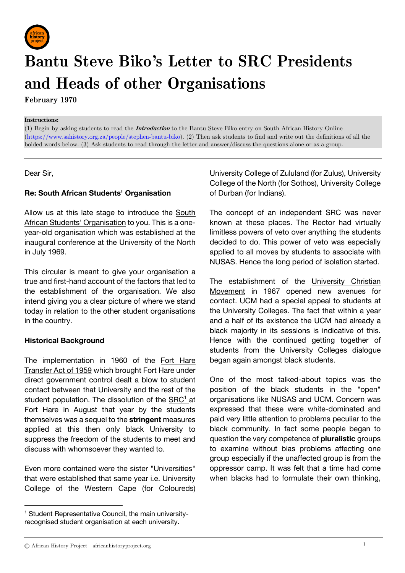

# **Bantu Steve Biko's Letter to SRC Presidents and Heads of other Organisations**

**February 1970**

#### **Instructions:**

(1) Begin by asking students to read the **Introduction** to the Bantu Steve Biko entry on South African History Online (https://www.sahistory.org.za/people/stephen-bantu-biko). (2) Then ask students to find and write out the definitions of all the bolded words below. (3) Ask students to read through the letter and answer/discuss the questions alone or as a group.

Dear Sir,

#### **Re: South African Students' Organisation**

Allow us at this late stage to introduce the South African Students' Organisation to you. This is a oneyear-old organisation which was established at the inaugural conference at the University of the North in July 1969.

This circular is meant to give your organisation a true and first-hand account of the factors that led to the establishment of the organisation. We also intend giving you a clear picture of where we stand today in relation to the other student organisations in the country.

#### **Historical Background**

The implementation in 1960 of the Fort Hare Transfer Act of 1959 which brought Fort Hare under direct government control dealt a blow to student contact between that University and the rest of the student population. The dissolution of the  $SRC<sup>1</sup>$  at Fort Hare in August that year by the students themselves was a sequel to the **stringent** measures applied at this then only black University to suppress the freedom of the students to meet and discuss with whomsoever they wanted to.

Even more contained were the sister "Universities" that were established that same year i.e. University College of the Western Cape (for Coloureds) University College of Zululand (for Zulus), University College of the North (for Sothos), University College of Durban (for Indians).

The concept of an independent SRC was never known at these places. The Rector had virtually limitless powers of veto over anything the students decided to do. This power of veto was especially applied to all moves by students to associate with NUSAS. Hence the long period of isolation started.

The establishment of the University Christian Movement in 1967 opened new avenues for contact. UCM had a special appeal to students at the University Colleges. The fact that within a year and a half of its existence the UCM had already a black majority in its sessions is indicative of this. Hence with the continued getting together of students from the University Colleges dialogue began again amongst black students.

One of the most talked-about topics was the position of the black students in the "open" organisations like NUSAS and UCM. Concern was expressed that these were white-dominated and paid very little attention to problems peculiar to the black community. In fact some people began to question the very competence of **pluralistic** groups to examine without bias problems affecting one group especially if the unaffected group is from the oppressor camp. It was felt that a time had come when blacks had to formulate their own thinking,

<sup>&</sup>lt;sup>1</sup> Student Representative Council, the main universityrecognised student organisation at each university.

 $\copyright$  African History Project  $|$  africanhistoryproject.org  $1$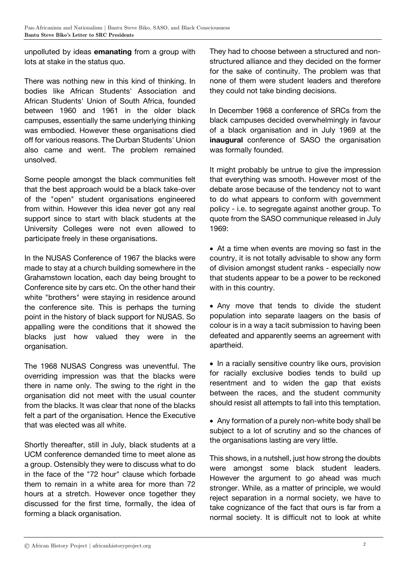unpolluted by ideas **emanating** from a group with lots at stake in the status quo.

There was nothing new in this kind of thinking. In bodies like African Students' Association and African Students' Union of South Africa, founded between 1960 and 1961 in the older black campuses, essentially the same underlying thinking was embodied. However these organisations died off for various reasons. The Durban Students' Union also came and went. The problem remained unsolved.

Some people amongst the black communities felt that the best approach would be a black take-over of the "open" student organisations engineered from within. However this idea never got any real support since to start with black students at the University Colleges were not even allowed to participate freely in these organisations.

In the NUSAS Conference of 1967 the blacks were made to stay at a church building somewhere in the Grahamstown location, each day being brought to Conference site by cars etc. On the other hand their white "brothers" were staying in residence around the conference site. This is perhaps the turning point in the history of black support for NUSAS. So appalling were the conditions that it showed the blacks just how valued they were in the organisation.

The 1968 NUSAS Congress was uneventful. The overriding impression was that the blacks were there in name only. The swing to the right in the organisation did not meet with the usual counter from the blacks. It was clear that none of the blacks felt a part of the organisation. Hence the Executive that was elected was all white.

Shortly thereafter, still in July, black students at a UCM conference demanded time to meet alone as a group. Ostensibly they were to discuss what to do in the face of the "72 hour" clause which forbade them to remain in a white area for more than 72 hours at a stretch. However once together they discussed for the first time, formally, the idea of forming a black organisation.

They had to choose between a structured and nonstructured alliance and they decided on the former for the sake of continuity. The problem was that none of them were student leaders and therefore they could not take binding decisions.

In December 1968 a conference of SRCs from the black campuses decided overwhelmingly in favour of a black organisation and in July 1969 at the **inaugural** conference of SASO the organisation was formally founded.

It might probably be untrue to give the impression that everything was smooth. However most of the debate arose because of the tendency not to want to do what appears to conform with government policy - i.e. to segregate against another group. To quote from the SASO communique released in July 1969:

• At a time when events are moving so fast in the country, it is not totally advisable to show any form of division amongst student ranks - especially now that students appear to be a power to be reckoned with in this country.

• Any move that tends to divide the student population into separate laagers on the basis of colour is in a way a tacit submission to having been defeated and apparently seems an agreement with apartheid.

• In a racially sensitive country like ours, provision for racially exclusive bodies tends to build up resentment and to widen the gap that exists between the races, and the student community should resist all attempts to fall into this temptation.

• Any formation of a purely non-white body shall be subject to a lot of scrutiny and so the chances of the organisations lasting are very little.

This shows, in a nutshell, just how strong the doubts were amongst some black student leaders. However the argument to go ahead was much stronger. While, as a matter of principle, we would reject separation in a normal society, we have to take cognizance of the fact that ours is far from a normal society. It is difficult not to look at white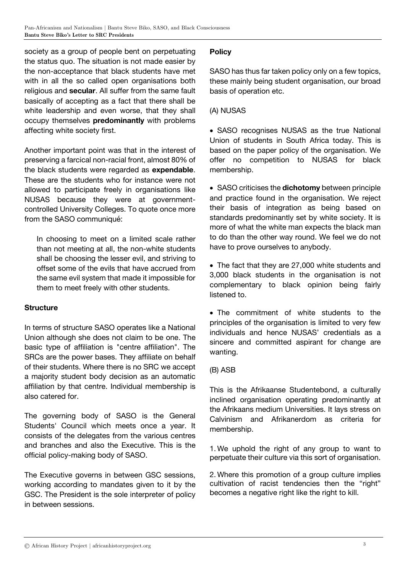society as a group of people bent on perpetuating the status quo. The situation is not made easier by the non-acceptance that black students have met with in all the so called open organisations both religious and **secular**. All suffer from the same fault basically of accepting as a fact that there shall be white leadership and even worse, that they shall occupy themselves **predominantly** with problems affecting white society first.

Another important point was that in the interest of preserving a farcical non-racial front, almost 80% of the black students were regarded as **expendable**. These are the students who for instance were not allowed to participate freely in organisations like NUSAS because they were at governmentcontrolled University Colleges. To quote once more from the SASO communiqué:

In choosing to meet on a limited scale rather than not meeting at all, the non-white students shall be choosing the lesser evil, and striving to offset some of the evils that have accrued from the same evil system that made it impossible for them to meet freely with other students.

# **Structure**

In terms of structure SASO operates like a National Union although she does not claim to be one. The basic type of affiliation is "centre affiliation". The SRCs are the power bases. They affiliate on behalf of their students. Where there is no SRC we accept a majority student body decision as an automatic affiliation by that centre. Individual membership is also catered for.

The governing body of SASO is the General Students' Council which meets once a year. It consists of the delegates from the various centres and branches and also the Executive. This is the official policy-making body of SASO.

The Executive governs in between GSC sessions, working according to mandates given to it by the GSC. The President is the sole interpreter of policy in between sessions.

# **Policy**

SASO has thus far taken policy only on a few topics, these mainly being student organisation, our broad basis of operation etc.

# (A) NUSAS

• SASO recognises NUSAS as the true National Union of students in South Africa today. This is based on the paper policy of the organisation. We offer no competition to NUSAS for black membership.

• SASO criticises the **dichotomy** between principle and practice found in the organisation. We reject their basis of integration as being based on standards predominantly set by white society. It is more of what the white man expects the black man to do than the other way round. We feel we do not have to prove ourselves to anybody.

• The fact that they are 27,000 white students and 3,000 black students in the organisation is not complementary to black opinion being fairly listened to.

• The commitment of white students to the principles of the organisation is limited to very few individuals and hence NUSAS' credentials as a sincere and committed aspirant for change are wanting.

## (B) ASB

This is the Afrikaanse Studentebond, a culturally inclined organisation operating predominantly at the Afrikaans medium Universities. It lays stress on Calvinism and Afrikanerdom as criteria for membership.

1. We uphold the right of any group to want to perpetuate their culture via this sort of organisation.

2. Where this promotion of a group culture implies cultivation of racist tendencies then the "right" becomes a negative right like the right to kill.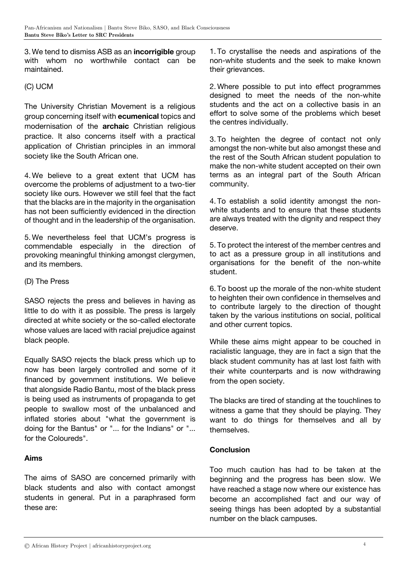3. We tend to dismiss ASB as an **incorrigible** group with whom no worthwhile contact can be maintained.

## (C) UCM

The University Christian Movement is a religious group concerning itself with **ecumenical** topics and modernisation of the **archaic** Christian religious practice. It also concerns itself with a practical application of Christian principles in an immoral society like the South African one.

4. We believe to a great extent that UCM has overcome the problems of adjustment to a two-tier society like ours. However we still feel that the fact that the blacks are in the majority in the organisation has not been sufficiently evidenced in the direction of thought and in the leadership of the organisation.

5. We nevertheless feel that UCM's progress is commendable especially in the direction of provoking meaningful thinking amongst clergymen, and its members.

(D) The Press

SASO rejects the press and believes in having as little to do with it as possible. The press is largely directed at white society or the so-called electorate whose values are laced with racial prejudice against black people.

Equally SASO rejects the black press which up to now has been largely controlled and some of it financed by government institutions. We believe that alongside Radio Bantu, most of the black press is being used as instruments of propaganda to get people to swallow most of the unbalanced and inflated stories about "what the government is doing for the Bantus" or "... for the Indians" or "... for the Coloureds".

## **Aims**

The aims of SASO are concerned primarily with black students and also with contact amongst students in general. Put in a paraphrased form these are:

1. To crystallise the needs and aspirations of the non-white students and the seek to make known their grievances.

2. Where possible to put into effect programmes designed to meet the needs of the non-white students and the act on a collective basis in an effort to solve some of the problems which beset the centres individually.

3. To heighten the degree of contact not only amongst the non-white but also amongst these and the rest of the South African student population to make the non-white student accepted on their own terms as an integral part of the South African community.

4. To establish a solid identity amongst the nonwhite students and to ensure that these students are always treated with the dignity and respect they deserve.

5. To protect the interest of the member centres and to act as a pressure group in all institutions and organisations for the benefit of the non-white student.

6. To boost up the morale of the non-white student to heighten their own confidence in themselves and to contribute largely to the direction of thought taken by the various institutions on social, political and other current topics.

While these aims might appear to be couched in racialistic language, they are in fact a sign that the black student community has at last lost faith with their white counterparts and is now withdrawing from the open society.

The blacks are tired of standing at the touchlines to witness a game that they should be playing. They want to do things for themselves and all by themselves.

## **Conclusion**

Too much caution has had to be taken at the beginning and the progress has been slow. We have reached a stage now where our existence has become an accomplished fact and our way of seeing things has been adopted by a substantial number on the black campuses.